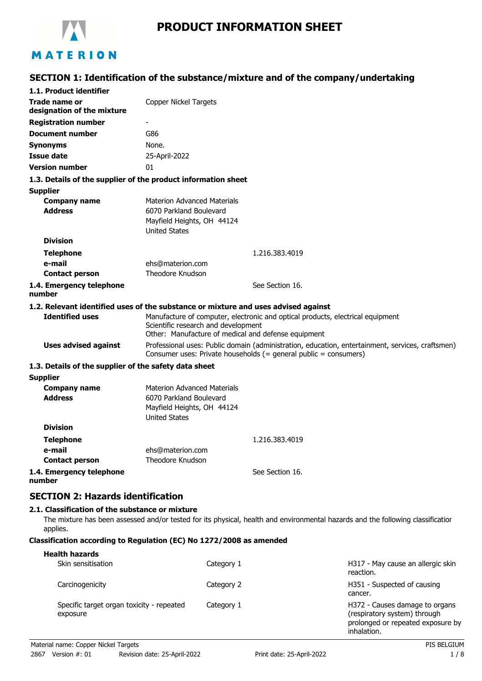

# **SECTION 1: Identification of the substance/mixture and of the company/undertaking**

|                                                       | 17 Julystun 17, 11                                                                                                                                                           |
|-------------------------------------------------------|------------------------------------------------------------------------------------------------------------------------------------------------------------------------------|
| 1.1. Product identifier                               |                                                                                                                                                                              |
| Trade name or<br>designation of the mixture           | <b>Copper Nickel Targets</b>                                                                                                                                                 |
| <b>Registration number</b>                            |                                                                                                                                                                              |
| <b>Document number</b>                                | G86                                                                                                                                                                          |
| <b>Synonyms</b>                                       | None.                                                                                                                                                                        |
| <b>Issue date</b>                                     | 25-April-2022                                                                                                                                                                |
| <b>Version number</b>                                 | 01                                                                                                                                                                           |
|                                                       | 1.3. Details of the supplier of the product information sheet                                                                                                                |
| <b>Supplier</b>                                       |                                                                                                                                                                              |
| <b>Company name</b>                                   | <b>Materion Advanced Materials</b>                                                                                                                                           |
| <b>Address</b>                                        | 6070 Parkland Boulevard                                                                                                                                                      |
|                                                       | Mayfield Heights, OH 44124                                                                                                                                                   |
|                                                       | <b>United States</b>                                                                                                                                                         |
| <b>Division</b>                                       |                                                                                                                                                                              |
| <b>Telephone</b>                                      | 1.216.383.4019                                                                                                                                                               |
| e-mail                                                | ehs@materion.com<br><b>Theodore Knudson</b>                                                                                                                                  |
| <b>Contact person</b>                                 |                                                                                                                                                                              |
| 1.4. Emergency telephone<br>number                    | See Section 16.                                                                                                                                                              |
|                                                       | 1.2. Relevant identified uses of the substance or mixture and uses advised against                                                                                           |
| <b>Identified uses</b>                                | Manufacture of computer, electronic and optical products, electrical equipment<br>Scientific research and development<br>Other: Manufacture of medical and defense equipment |
| <b>Uses advised against</b>                           | Professional uses: Public domain (administration, education, entertainment, services, craftsmen)<br>Consumer uses: Private households (= general public = consumers)         |
| 1.3. Details of the supplier of the safety data sheet |                                                                                                                                                                              |
| <b>Supplier</b>                                       |                                                                                                                                                                              |
| <b>Company name</b>                                   | <b>Materion Advanced Materials</b>                                                                                                                                           |
| <b>Address</b>                                        | 6070 Parkland Boulevard                                                                                                                                                      |
|                                                       | Mayfield Heights, OH 44124                                                                                                                                                   |
|                                                       | <b>United States</b>                                                                                                                                                         |
| <b>Division</b>                                       |                                                                                                                                                                              |
| <b>Telephone</b>                                      | 1.216.383.4019                                                                                                                                                               |
| e-mail                                                | ehs@materion.com                                                                                                                                                             |
| <b>Contact person</b>                                 | Theodore Knudson                                                                                                                                                             |
| 1.4. Emergency telephone<br>number                    | See Section 16.                                                                                                                                                              |
| <b>SECTION 2: Hazards identification</b>              |                                                                                                                                                                              |
| 2.1. Classification of the substance or mixture       |                                                                                                                                                                              |
|                                                       |                                                                                                                                                                              |

The mixture has been assessed and/or tested for its physical, health and environmental hazards and the following classification applies.

#### **Classification according to Regulation (EC) No 1272/2008 as amended**

| <b>Health hazards</b>                                 |            |                                                                                                                    |
|-------------------------------------------------------|------------|--------------------------------------------------------------------------------------------------------------------|
| Skin sensitisation                                    | Category 1 | H317 - May cause an allergic skin<br>reaction.                                                                     |
| Carcinogenicity                                       | Category 2 | H351 - Suspected of causing<br>cancer.                                                                             |
| Specific target organ toxicity - repeated<br>exposure | Category 1 | H372 - Causes damage to organs<br>(respiratory system) through<br>prolonged or repeated exposure by<br>inhalation. |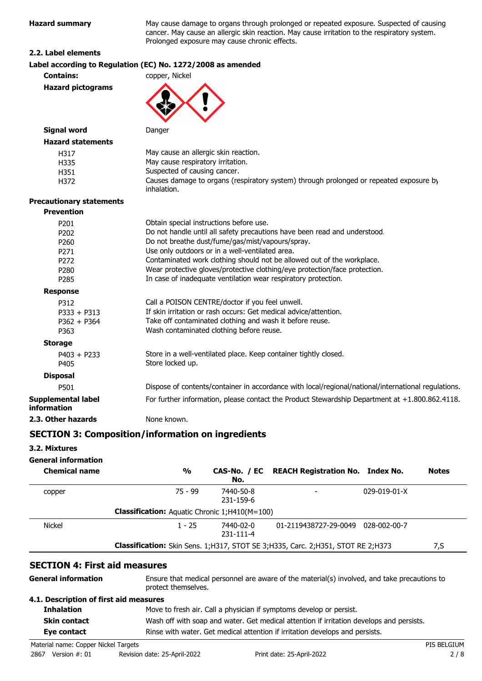| <b>Hazard summary</b>           | May cause damage to organs through prolonged or repeated exposure. Suspected of causi<br>cancer. May cause an allergic skin reaction. May cause irritation to the respiratory system.<br>Prolonged exposure may cause chronic effects. |
|---------------------------------|----------------------------------------------------------------------------------------------------------------------------------------------------------------------------------------------------------------------------------------|
| 2.2. Label elements             |                                                                                                                                                                                                                                        |
|                                 | Label according to Regulation (EC) No. 1272/2008 as amended                                                                                                                                                                            |
| <b>Contains:</b>                | copper, Nickel                                                                                                                                                                                                                         |
| <b>Hazard pictograms</b>        |                                                                                                                                                                                                                                        |
| <b>Signal word</b>              | Danger                                                                                                                                                                                                                                 |
| <b>Hazard statements</b>        |                                                                                                                                                                                                                                        |
| H317                            | May cause an allergic skin reaction.                                                                                                                                                                                                   |
| H335                            | May cause respiratory irritation.                                                                                                                                                                                                      |
| H351                            | Suspected of causing cancer.                                                                                                                                                                                                           |
| H372                            | Causes damage to organs (respiratory system) through prolonged or repeated exposure by<br>inhalation.                                                                                                                                  |
| <b>Precautionary statements</b> |                                                                                                                                                                                                                                        |
| <b>Prevention</b>               |                                                                                                                                                                                                                                        |
| P201                            | Obtain special instructions before use.                                                                                                                                                                                                |
| P202                            | Do not handle until all safety precautions have been read and understood.                                                                                                                                                              |
| P260                            | Do not breathe dust/fume/gas/mist/vapours/spray.                                                                                                                                                                                       |
| P <sub>271</sub>                | Use only outdoors or in a well-ventilated area.                                                                                                                                                                                        |
| P272                            | Contaminated work clothing should not be allowed out of the workplace.                                                                                                                                                                 |
| P280                            | Wear protective gloves/protective clothing/eye protection/face protection.                                                                                                                                                             |
| P285                            | In case of inadequate ventilation wear respiratory protection.                                                                                                                                                                         |
| <b>Response</b>                 |                                                                                                                                                                                                                                        |
| P312                            | Call a POISON CENTRE/doctor if you feel unwell.                                                                                                                                                                                        |
| $P333 + P313$                   | If skin irritation or rash occurs: Get medical advice/attention.                                                                                                                                                                       |
| $P362 + P364$                   | Take off contaminated clothing and wash it before reuse.                                                                                                                                                                               |
| P363                            | Wash contaminated clothing before reuse.                                                                                                                                                                                               |
| <b>Storage</b>                  |                                                                                                                                                                                                                                        |
| $P403 + P233$<br>P405           | Store in a well-ventilated place. Keep container tightly closed.<br>Store locked up.                                                                                                                                                   |
| <b>Disposal</b>                 |                                                                                                                                                                                                                                        |
|                                 | Dianaga af gantante laguteinau in geganden er svitbolger lugaisnel lugtingel lintennetignel va                                                                                                                                         |

P501 Dispose of contents/container in accordance with local/regional/national/international regulations. **Supplemental label information** For further information, please contact the Product Stewardship Department at +1.800.862.4118. **2.3. Other hazards** None known.

## **SECTION 3: Composition/information on ingredients**

## **3.2. Mixtures**

## **General information**

| <b>Chemical name</b> | %                                                    | CAS-No. / EC<br>No.    | <b>REACH Registration No. Index No.</b>                                             |                      | <b>Notes</b> |
|----------------------|------------------------------------------------------|------------------------|-------------------------------------------------------------------------------------|----------------------|--------------|
| copper               | 75 - 99                                              | 7440-50-8<br>231-159-6 |                                                                                     | $029 - 019 - 01 - X$ |              |
|                      | <b>Classification:</b> Aquatic Chronic 1;H410(M=100) |                        |                                                                                     |                      |              |
| <b>Nickel</b>        | $1 - 25$                                             | 7440-02-0<br>231-111-4 | 01-2119438727-29-0049                                                               | 028-002-00-7         |              |
|                      |                                                      |                        | Classification: Skin Sens. 1; H317, STOT SE 3; H335, Carc. 2; H351, STOT RE 2; H373 |                      | 7,S          |

## **SECTION 4: First aid measures**

| <b>General information</b>             | Ensure that medical personnel are aware of the material(s) involved, and take precautions to<br>protect themselves. |  |
|----------------------------------------|---------------------------------------------------------------------------------------------------------------------|--|
| 4.1. Description of first aid measures |                                                                                                                     |  |
| <b>Inhalation</b>                      | Move to fresh air. Call a physician if symptoms develop or persist.                                                 |  |
| <b>Skin contact</b>                    | Wash off with soap and water. Get medical attention if irritation develops and persists.                            |  |
| Eye contact                            | Rinse with water. Get medical attention if irritation develops and persists.                                        |  |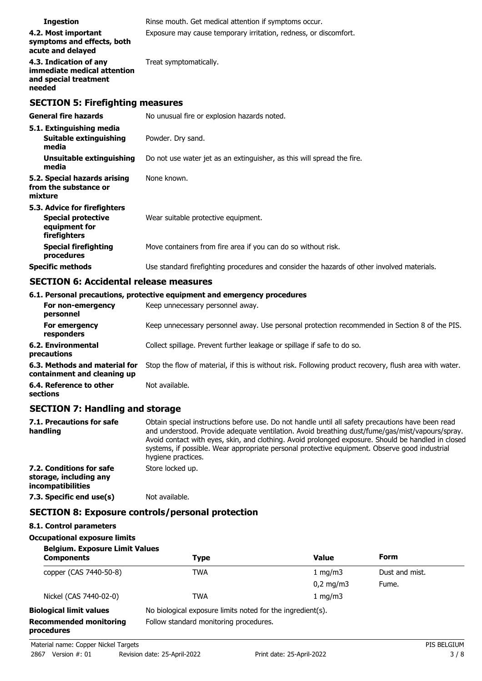| <b>Ingestion</b>                                                                         | Rinse mouth. Get medical attention if symptoms occur.                                      |
|------------------------------------------------------------------------------------------|--------------------------------------------------------------------------------------------|
| 4.2. Most important<br>symptoms and effects, both<br>acute and delayed                   | Exposure may cause temporary irritation, redness, or discomfort.                           |
| 4.3. Indication of any<br>immediate medical attention<br>and special treatment<br>needed | Treat symptomatically.                                                                     |
| <b>SECTION 5: Firefighting measures</b>                                                  |                                                                                            |
| <b>General fire hazards</b>                                                              | No unusual fire or explosion hazards noted.                                                |
| 5.1. Extinguishing media                                                                 |                                                                                            |
| <b>Suitable extinguishing</b><br>media                                                   | Powder. Dry sand.                                                                          |
| Unsuitable extinguishing<br>media                                                        | Do not use water jet as an extinguisher, as this will spread the fire.                     |
| 5.2. Special hazards arising<br>from the substance or<br>mixture                         | None known.                                                                                |
| 5.3. Advice for firefighters                                                             |                                                                                            |
| <b>Special protective</b><br>equipment for<br>firefighters                               | Wear suitable protective equipment.                                                        |
| <b>Special firefighting</b><br>procedures                                                | Move containers from fire area if you can do so without risk.                              |
| <b>Specific methods</b>                                                                  | Use standard firefighting procedures and consider the hazards of other involved materials. |

# **SECTION 6: Accidental release measures**

|                                                              | 6.1. Personal precautions, protective equipment and emergency procedures                               |
|--------------------------------------------------------------|--------------------------------------------------------------------------------------------------------|
| For non-emergency<br>personnel                               | Keep unnecessary personnel away.                                                                       |
| For emergency<br>responders                                  | Keep unnecessary personnel away. Use personal protection recommended in Section 8 of the PIS.          |
| 6.2. Environmental<br>precautions                            | Collect spillage. Prevent further leakage or spillage if safe to do so.                                |
| 6.3. Methods and material for<br>containment and cleaning up | Stop the flow of material, if this is without risk. Following product recovery, flush area with water. |
| 6.4. Reference to other<br>sections                          | Not available.                                                                                         |

# **SECTION 7: Handling and storage**

| 7.1. Precautions for safe<br>handling                                   | Obtain special instructions before use. Do not handle until all safety precautions have been read<br>and understood. Provide adequate ventilation. Avoid breathing dust/fume/gas/mist/vapours/spray.<br>Avoid contact with eyes, skin, and clothing. Avoid prolonged exposure. Should be handled in closed<br>systems, if possible. Wear appropriate personal protective equipment. Observe good industrial<br>hygiene practices. |
|-------------------------------------------------------------------------|-----------------------------------------------------------------------------------------------------------------------------------------------------------------------------------------------------------------------------------------------------------------------------------------------------------------------------------------------------------------------------------------------------------------------------------|
| 7.2. Conditions for safe<br>storage, including any<br>incompatibilities | Store locked up.                                                                                                                                                                                                                                                                                                                                                                                                                  |
| 7.3. Specific end use(s)                                                | Not available.                                                                                                                                                                                                                                                                                                                                                                                                                    |
|                                                                         | <b>SECTION 8: Exposure controls/personal protection</b>                                                                                                                                                                                                                                                                                                                                                                           |

## **8.1. Control parameters**

## **Occupational exposure limits**

| <b>Belgium. Exposure Limit Values</b>       |                                                            |              |                |
|---------------------------------------------|------------------------------------------------------------|--------------|----------------|
| <b>Components</b>                           | <b>Type</b>                                                | <b>Value</b> | Form           |
| copper (CAS 7440-50-8)                      | TWA                                                        | 1 mg/m $3$   | Dust and mist. |
|                                             |                                                            | $0,2$ mg/m3  | Fume.          |
| Nickel (CAS 7440-02-0)                      | <b>TWA</b>                                                 | 1 mg/m $3$   |                |
| <b>Biological limit values</b>              | No biological exposure limits noted for the ingredient(s). |              |                |
| <b>Recommended monitoring</b><br>procedures | Follow standard monitoring procedures.                     |              |                |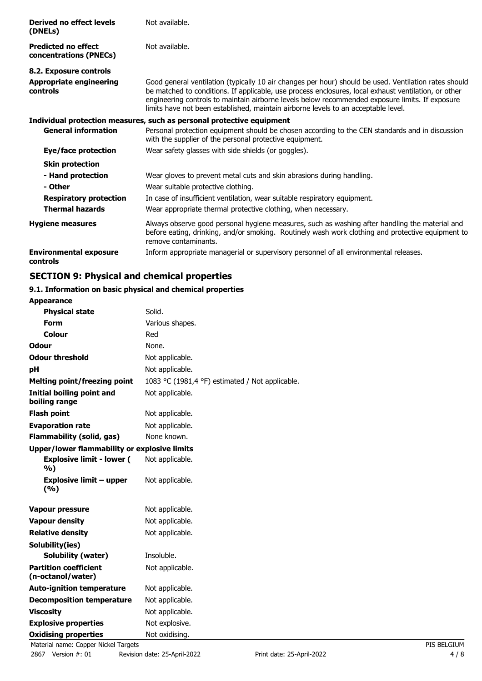| Derived no effect levels<br>(DNELs)                  | Not available.                                                                                                                                                                                                                                                                                                                                                                                         |
|------------------------------------------------------|--------------------------------------------------------------------------------------------------------------------------------------------------------------------------------------------------------------------------------------------------------------------------------------------------------------------------------------------------------------------------------------------------------|
| <b>Predicted no effect</b><br>concentrations (PNECs) | Not available.                                                                                                                                                                                                                                                                                                                                                                                         |
| 8.2. Exposure controls                               |                                                                                                                                                                                                                                                                                                                                                                                                        |
| <b>Appropriate engineering</b><br><b>controls</b>    | Good general ventilation (typically 10 air changes per hour) should be used. Ventilation rates should<br>be matched to conditions. If applicable, use process enclosures, local exhaust ventilation, or other<br>engineering controls to maintain airborne levels below recommended exposure limits. If exposure<br>limits have not been established, maintain airborne levels to an acceptable level. |
|                                                      | Individual protection measures, such as personal protective equipment                                                                                                                                                                                                                                                                                                                                  |
| <b>General information</b>                           | Personal protection equipment should be chosen according to the CEN standards and in discussion<br>with the supplier of the personal protective equipment.                                                                                                                                                                                                                                             |
| Eye/face protection                                  | Wear safety glasses with side shields (or goggles).                                                                                                                                                                                                                                                                                                                                                    |
| <b>Skin protection</b>                               |                                                                                                                                                                                                                                                                                                                                                                                                        |
| - Hand protection                                    | Wear gloves to prevent metal cuts and skin abrasions during handling.                                                                                                                                                                                                                                                                                                                                  |
| - Other                                              | Wear suitable protective clothing.                                                                                                                                                                                                                                                                                                                                                                     |
| <b>Respiratory protection</b>                        | In case of insufficient ventilation, wear suitable respiratory equipment.                                                                                                                                                                                                                                                                                                                              |
| <b>Thermal hazards</b>                               | Wear appropriate thermal protective clothing, when necessary.                                                                                                                                                                                                                                                                                                                                          |
| <b>Hygiene measures</b>                              | Always observe good personal hygiene measures, such as washing after handling the material and<br>before eating, drinking, and/or smoking. Routinely wash work clothing and protective equipment to<br>remove contaminants.                                                                                                                                                                            |
| <b>Environmental exposure</b><br>controls            | Inform appropriate managerial or supervisory personnel of all environmental releases.                                                                                                                                                                                                                                                                                                                  |

# **SECTION 9: Physical and chemical properties**

## **9.1. Information on basic physical and chemical properties**

| <b>Appearance</b>                                   |                                                 |  |
|-----------------------------------------------------|-------------------------------------------------|--|
| <b>Physical state</b>                               | Solid.                                          |  |
| Form                                                | Various shapes.                                 |  |
| Colour                                              | Red                                             |  |
| <b>Odour</b>                                        | None.                                           |  |
| <b>Odour threshold</b>                              | Not applicable.                                 |  |
| рH                                                  | Not applicable.                                 |  |
| <b>Melting point/freezing point</b>                 | 1083 °C (1981,4 °F) estimated / Not applicable. |  |
| <b>Initial boiling point and</b><br>boiling range   | Not applicable.                                 |  |
| <b>Flash point</b>                                  | Not applicable.                                 |  |
| <b>Evaporation rate</b><br>Not applicable.          |                                                 |  |
| <b>Flammability (solid, gas)</b>                    | None known.                                     |  |
| <b>Upper/lower flammability or explosive limits</b> |                                                 |  |
| <b>Explosive limit - lower (</b><br>%)              | Not applicable.                                 |  |
| <b>Explosive limit - upper</b><br>(%)               | Not applicable.                                 |  |
| <b>Vapour pressure</b>                              | Not applicable.                                 |  |
| <b>Vapour density</b>                               | Not applicable.                                 |  |
| <b>Relative density</b>                             | Not applicable.                                 |  |
| Solubility(ies)                                     |                                                 |  |
| <b>Solubility (water)</b>                           | Insoluble.                                      |  |
| <b>Partition coefficient</b><br>(n-octanol/water)   | Not applicable.                                 |  |
| <b>Auto-ignition temperature</b>                    | Not applicable.                                 |  |
| <b>Decomposition temperature</b>                    | Not applicable.                                 |  |
| <b>Viscosity</b>                                    | Not applicable.                                 |  |
| <b>Explosive properties</b>                         | Not explosive.                                  |  |
| <b>Oxidising properties</b>                         | Not oxidising.                                  |  |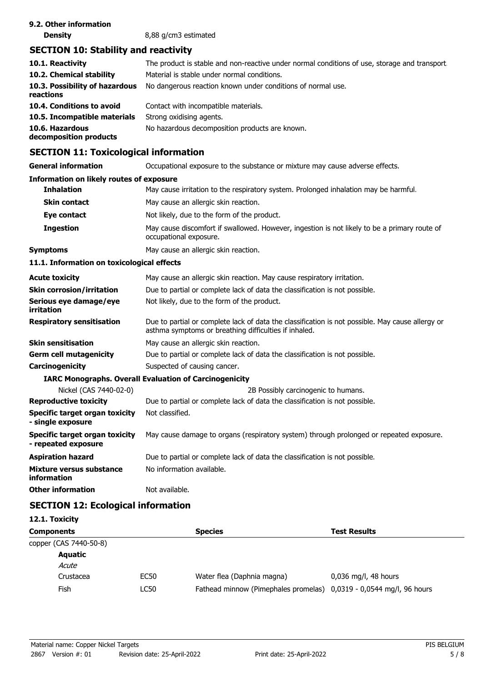| 9.2. Other information |                      |
|------------------------|----------------------|
| <b>Density</b>         | 8,88 g/cm3 estimated |

# **SECTION 10: Stability and reactivity**

| 10.1. Reactivity<br>10.2. Chemical stability | The product is stable and non-reactive under normal conditions of use, storage and transport.<br>Material is stable under normal conditions. |
|----------------------------------------------|----------------------------------------------------------------------------------------------------------------------------------------------|
|                                              |                                                                                                                                              |
| 10.3. Possibility of hazardous<br>reactions  | No dangerous reaction known under conditions of normal use.                                                                                  |
| 10.4. Conditions to avoid                    | Contact with incompatible materials.                                                                                                         |
| 10.5. Incompatible materials                 | Strong oxidising agents.                                                                                                                     |
| 10.6. Hazardous<br>decomposition products    | No hazardous decomposition products are known.                                                                                               |

# **SECTION 11: Toxicological information**

**General information CCCUPATION** Occupational exposure to the substance or mixture may cause adverse effects.

#### **Information on likely routes of exposure**

| <b>Inhalation</b>                                     | May cause irritation to the respiratory system. Prolonged inhalation may be harmful.                                                                      |
|-------------------------------------------------------|-----------------------------------------------------------------------------------------------------------------------------------------------------------|
| <b>Skin contact</b>                                   | May cause an allergic skin reaction.                                                                                                                      |
| Eye contact                                           | Not likely, due to the form of the product.                                                                                                               |
| <b>Ingestion</b>                                      | May cause discomfort if swallowed. However, ingestion is not likely to be a primary route of<br>occupational exposure.                                    |
| Symptoms                                              | May cause an allergic skin reaction.                                                                                                                      |
| 11.1. Information on toxicological effects            |                                                                                                                                                           |
| <b>Acute toxicity</b>                                 | May cause an allergic skin reaction. May cause respiratory irritation.                                                                                    |
| Skin corrosion/irritation                             | Due to partial or complete lack of data the classification is not possible.                                                                               |
| Serious eye damage/eye<br>irritation                  | Not likely, due to the form of the product.                                                                                                               |
| <b>Respiratory sensitisation</b>                      | Due to partial or complete lack of data the classification is not possible. May cause allergy or<br>asthma symptoms or breathing difficulties if inhaled. |
| Skin sensitisation                                    | May cause an allergic skin reaction.                                                                                                                      |
| Germ cell mutagenicity                                | Due to partial or complete lack of data the classification is not possible.                                                                               |
| Carcinogenicity                                       | Suspected of causing cancer.                                                                                                                              |
|                                                       | <b>IARC Monographs. Overall Evaluation of Carcinogenicity</b>                                                                                             |
| Nickel (CAS 7440-02-0)                                | 2B Possibly carcinogenic to humans.                                                                                                                       |
| <b>Reproductive toxicity</b>                          | Due to partial or complete lack of data the classification is not possible.                                                                               |
| Specific target organ toxicity<br>- single exposure   | Not classified.                                                                                                                                           |
| Specific target organ toxicity<br>- repeated exposure | May cause damage to organs (respiratory system) through prolonged or repeated exposure.                                                                   |
| Aspiration hazard                                     | Due to partial or complete lack of data the classification is not possible.                                                                               |
| Mixture versus substance<br>information               | No information available.                                                                                                                                 |
| Other information                                     | Not available.                                                                                                                                            |

# **SECTION 12: Ecological information**

| 12.1. Toxicity         |             |                                                                     |                        |
|------------------------|-------------|---------------------------------------------------------------------|------------------------|
| <b>Components</b>      |             | <b>Species</b>                                                      | <b>Test Results</b>    |
| copper (CAS 7440-50-8) |             |                                                                     |                        |
| <b>Aquatic</b>         |             |                                                                     |                        |
| Acute                  |             |                                                                     |                        |
| Crustacea              | <b>EC50</b> | Water flea (Daphnia magna)                                          | $0,036$ mg/l, 48 hours |
| Fish                   | LC50        | Fathead minnow (Pimephales promelas) 0,0319 - 0,0544 mg/l, 96 hours |                        |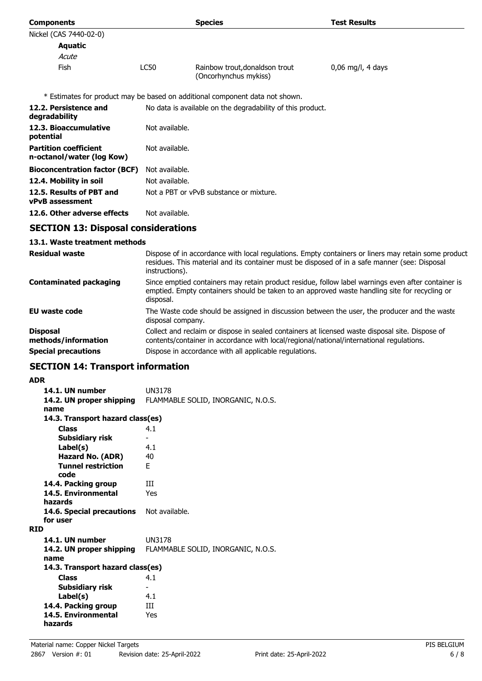| <b>Components</b>                                         |                | <b>Species</b>                                                                                | <b>Test Results</b>                                                                                 |
|-----------------------------------------------------------|----------------|-----------------------------------------------------------------------------------------------|-----------------------------------------------------------------------------------------------------|
| Nickel (CAS 7440-02-0)                                    |                |                                                                                               |                                                                                                     |
| Aquatic                                                   |                |                                                                                               |                                                                                                     |
| Acute                                                     |                |                                                                                               |                                                                                                     |
| Fish                                                      | LC50           | Rainbow trout, donaldson trout<br>(Oncorhynchus mykiss)                                       | $0,06$ mg/l, 4 days                                                                                 |
|                                                           |                | * Estimates for product may be based on additional component data not shown.                  |                                                                                                     |
| 12.2. Persistence and<br>degradability                    |                | No data is available on the degradability of this product.                                    |                                                                                                     |
| 12.3. Bioaccumulative<br>potential                        | Not available. |                                                                                               |                                                                                                     |
| <b>Partition coefficient</b><br>n-octanol/water (log Kow) | Not available. |                                                                                               |                                                                                                     |
| <b>Bioconcentration factor (BCF)</b>                      | Not available. |                                                                                               |                                                                                                     |
| 12.4. Mobility in soil                                    | Not available. |                                                                                               |                                                                                                     |
| 12.5. Results of PBT and<br><b>vPvB</b> assessment        |                | Not a PBT or vPvB substance or mixture.                                                       |                                                                                                     |
| 12.6. Other adverse effects                               | Not available. |                                                                                               |                                                                                                     |
| <b>SECTION 13: Disposal considerations</b>                |                |                                                                                               |                                                                                                     |
| 13.1. Waste treatment methods                             |                |                                                                                               |                                                                                                     |
| <b>Residual waste</b>                                     |                | residues. This material and its container must be disposed of in a safe manner (see: Disposal | Dispose of in accordance with local regulations. Empty containers or liners may retain some product |

|                                        | instructions).                                                                                                                                                                                                   |
|----------------------------------------|------------------------------------------------------------------------------------------------------------------------------------------------------------------------------------------------------------------|
| <b>Contaminated packaging</b>          | Since emptied containers may retain product residue, follow label warnings even after container is<br>emptied. Empty containers should be taken to an approved waste handling site for recycling or<br>disposal. |
| EU waste code                          | The Waste code should be assigned in discussion between the user, the producer and the waste<br>disposal company.                                                                                                |
| <b>Disposal</b><br>methods/information | Collect and reclaim or dispose in sealed containers at licensed waste disposal site. Dispose of<br>contents/container in accordance with local/regional/national/international regulations.                      |
| <b>Special precautions</b>             | Dispose in accordance with all applicable regulations.                                                                                                                                                           |

# **SECTION 14: Transport information**

## **ADR**

| AVR                              |                                    |
|----------------------------------|------------------------------------|
| 14.1. UN number                  | UN3178                             |
| 14.2. UN proper shipping         | FLAMMABLE SOLID, INORGANIC, N.O.S. |
| name                             |                                    |
| 14.3. Transport hazard class(es) |                                    |
| <b>Class</b>                     | 4.1                                |
| Subsidiary risk                  |                                    |
| Label(s)                         | 4.1                                |
| Hazard No. (ADR)                 | 40                                 |
| <b>Tunnel restriction</b>        | F.                                 |
| code                             |                                    |
| 14.4. Packing group              | Ш                                  |
| 14.5. Environmental              | Yes                                |
| hazards                          |                                    |
| 14.6. Special precautions        | Not available.                     |
| for user                         |                                    |
| <b>RID</b>                       |                                    |
| 14.1. UN number                  | <b>UN3178</b>                      |
| 14.2. UN proper shipping         | FLAMMABLE SOLID, INORGANIC, N.O.S. |
| name                             |                                    |
| 14.3. Transport hazard class(es) |                                    |
| <b>Class</b>                     | 4.1                                |
| Subsidiary risk                  | ۰                                  |
| Label(s)                         | 4.1                                |
| 14.4. Packing group              | Ш                                  |
| 14.5. Environmental              | Yes                                |
| hazards                          |                                    |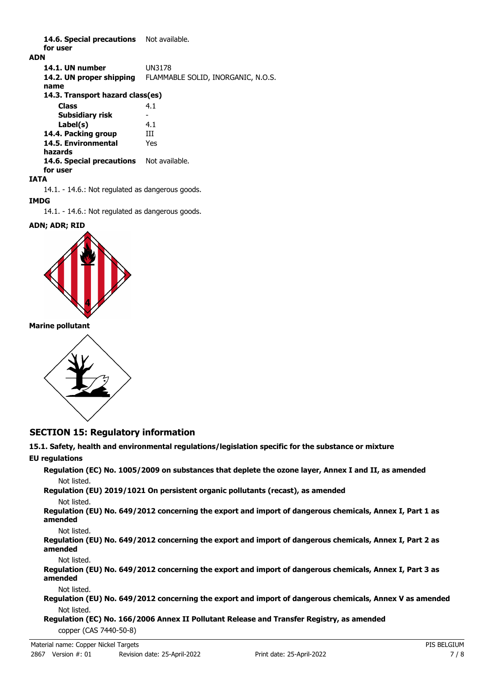14.6. Special precautions Not available. **for user**

### **ADN**

**14.1. UN number** UN3178 **14.2. UN proper shipping** FLAMMABLE SOLID, INORGANIC, N.O.S. **name Class** 4.1 **14.3. Transport hazard class(es) Subsidiary risk Label(s)** 4.1 **14.4. Packing group III 14.5. Environmental** Yes **hazards** 14.6. Special precautions Not available. **for user**

### **IATA**

14.1. - 14.6.: Not regulated as dangerous goods.

## **IMDG**

14.1. - 14.6.: Not regulated as dangerous goods.

### **ADN; ADR; RID**



### **Marine pollutant**



## **SECTION 15: Regulatory information**

# **15.1. Safety, health and environmental regulations/legislation specific for the substance or mixture**

## **EU regulations**

**Regulation (EC) No. 1005/2009 on substances that deplete the ozone layer, Annex I and II, as amended** Not listed.

# **Regulation (EU) 2019/1021 On persistent organic pollutants (recast), as amended**

Not listed.

**Regulation (EU) No. 649/2012 concerning the export and import of dangerous chemicals, Annex I, Part 1 as amended**

Not listed.

**Regulation (EU) No. 649/2012 concerning the export and import of dangerous chemicals, Annex I, Part 2 as amended**

Not listed.

**Regulation (EU) No. 649/2012 concerning the export and import of dangerous chemicals, Annex I, Part 3 as amended**

Not listed.

**Regulation (EU) No. 649/2012 concerning the export and import of dangerous chemicals, Annex V as amended** Not listed.

**Regulation (EC) No. 166/2006 Annex II Pollutant Release and Transfer Registry, as amended** copper (CAS 7440-50-8)